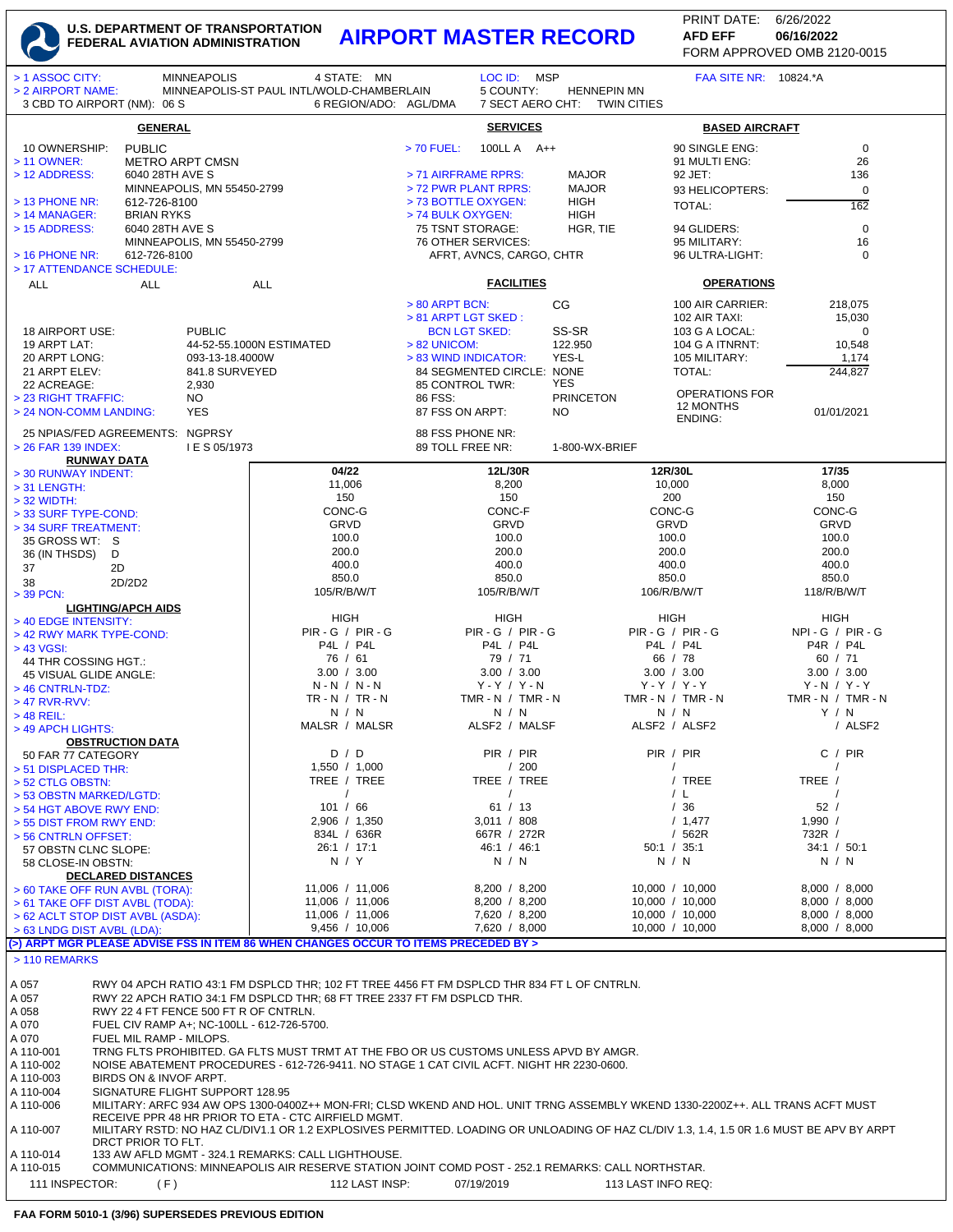## **U.S. DEPARTMENT OF TRANSPORTATION FEDERAL AVIATION ADMINISTRATION AIRPORT MASTER RECORD AFD EFF 06/16/2022**

FORM APPROVED OMB 2120-0015 PRINT DATE: 6/26/2022 **AFD EFF**

| > 1 ASSOC CITY:<br>> 2 AIRPORT NAME:                                                                                                                                                        |                                      | <b>MINNEAPOLIS</b>                    | 4 STATE: MN<br>MINNEAPOLIS-ST PAUL INTL/WOLD-CHAMBERLAIN                                         |                            | LOC ID: MSP<br>5 COUNTY:       | <b>HENNEPIN MN</b>           |                                    | <b>FAA SITE NR: 10824.*A</b>      |                                |
|---------------------------------------------------------------------------------------------------------------------------------------------------------------------------------------------|--------------------------------------|---------------------------------------|--------------------------------------------------------------------------------------------------|----------------------------|--------------------------------|------------------------------|------------------------------------|-----------------------------------|--------------------------------|
| 3 CBD TO AIRPORT (NM): 06 S                                                                                                                                                                 |                                      |                                       |                                                                                                  | 6 REGION/ADO: AGL/DMA      |                                | 7 SECT AERO CHT: TWIN CITIES |                                    |                                   |                                |
| <b>GENERAL</b>                                                                                                                                                                              |                                      |                                       |                                                                                                  |                            | <b>SERVICES</b>                |                              |                                    | <b>BASED AIRCRAFT</b>             |                                |
| 10 OWNERSHIP:<br>> 11 OWNER:                                                                                                                                                                | <b>PUBLIC</b>                        |                                       |                                                                                                  | $> 70$ FUEL:               | 100LL A A++                    |                              |                                    | 90 SINGLE ENG:<br>91 MULTI ENG:   | $\mathbf 0$<br>26              |
| > 12 ADDRESS:                                                                                                                                                                               | 6040 28TH AVE S                      | <b>METRO ARPT CMSN</b>                |                                                                                                  | > 71 AIRFRAME RPRS:        |                                | <b>MAJOR</b>                 |                                    | 92 JET:                           | 136                            |
|                                                                                                                                                                                             |                                      | MINNEAPOLIS, MN 55450-2799            |                                                                                                  |                            | > 72 PWR PLANT RPRS:           | <b>MAJOR</b>                 |                                    | 93 HELICOPTERS:                   | 0                              |
| $>$ 13 PHONE NR:                                                                                                                                                                            | 612-726-8100                         |                                       |                                                                                                  |                            | > 73 BOTTLE OXYGEN:            | <b>HIGH</b>                  |                                    | TOTAL:                            | 162                            |
| $>$ 14 MANAGER:<br>> 15 ADDRESS:                                                                                                                                                            | <b>BRIAN RYKS</b><br>6040 28TH AVE S |                                       |                                                                                                  | > 74 BULK OXYGEN:          | 75 TSNT STORAGE:               | <b>HIGH</b><br>HGR, TIE      |                                    | 94 GLIDERS:                       | 0                              |
|                                                                                                                                                                                             |                                      | MINNEAPOLIS, MN 55450-2799            |                                                                                                  |                            | 76 OTHER SERVICES:             |                              |                                    | 95 MILITARY:                      | 16                             |
| $>$ 16 PHONE NR:                                                                                                                                                                            | 612-726-8100                         |                                       |                                                                                                  |                            | AFRT, AVNCS, CARGO, CHTR       |                              |                                    | 96 ULTRA-LIGHT:                   | $\mathbf 0$                    |
| > 17 ATTENDANCE SCHEDULE:<br><b>ALL</b>                                                                                                                                                     | <b>ALL</b>                           |                                       | <b>ALL</b>                                                                                       |                            | <b>FACILITIES</b>              |                              |                                    | <b>OPERATIONS</b>                 |                                |
|                                                                                                                                                                                             |                                      |                                       |                                                                                                  |                            |                                |                              |                                    |                                   |                                |
|                                                                                                                                                                                             |                                      |                                       |                                                                                                  | > 80 ARPT BCN:             | > 81 ARPT LGT SKED:            | CG                           |                                    | 100 AIR CARRIER:<br>102 AIR TAXI: | 218,075<br>15,030              |
| 18 AIRPORT USE:                                                                                                                                                                             |                                      | <b>PUBLIC</b>                         |                                                                                                  |                            | <b>BCN LGT SKED:</b>           | SS-SR                        |                                    | 103 G A LOCAL:                    | 0                              |
| 19 ARPT LAT:<br>20 ARPT LONG:                                                                                                                                                               |                                      |                                       | 44-52-55.1000N ESTIMATED                                                                         | $> 82$ UNICOM:             | > 83 WIND INDICATOR:           | 122.950<br>YES-L             |                                    | 104 G A ITNRNT:                   | 10,548                         |
| 21 ARPT ELEV:                                                                                                                                                                               |                                      | 093-13-18.4000W<br>841.8 SURVEYED     |                                                                                                  |                            | 84 SEGMENTED CIRCLE: NONE      |                              |                                    | 105 MILITARY:<br><b>TOTAL:</b>    | 1,174<br>244,827               |
| 22 ACREAGE:                                                                                                                                                                                 |                                      | 2,930                                 |                                                                                                  |                            | 85 CONTROL TWR:                | YES                          |                                    | <b>OPERATIONS FOR</b>             |                                |
| > 23 RIGHT TRAFFIC:                                                                                                                                                                         |                                      | NO.<br><b>YES</b>                     |                                                                                                  | 86 FSS:<br>87 FSS ON ARPT: |                                | <b>PRINCETON</b>             |                                    | 12 MONTHS                         |                                |
| > 24 NON-COMM LANDING:                                                                                                                                                                      |                                      |                                       |                                                                                                  |                            |                                | NO.                          |                                    | <b>ENDING:</b>                    | 01/01/2021                     |
| 25 NPIAS/FED AGREEMENTS: NGPRSY                                                                                                                                                             |                                      |                                       |                                                                                                  |                            | 88 FSS PHONE NR:               | 1-800-WX-BRIEF               |                                    |                                   |                                |
| > 26 FAR 139 INDEX:<br><b>RUNWAY DATA</b>                                                                                                                                                   |                                      | I E S 05/1973                         |                                                                                                  | 89 TOLL FREE NR:           |                                |                              |                                    |                                   |                                |
| > 30 RUNWAY INDENT:                                                                                                                                                                         |                                      |                                       | 04/22                                                                                            |                            | 12L/30R                        |                              | 12R/30L                            |                                   | 17/35                          |
| $>$ 31 LENGTH:                                                                                                                                                                              |                                      |                                       | 11,006<br>150                                                                                    |                            | 8,200<br>150                   |                              | 10,000<br>200                      |                                   | 8,000<br>150                   |
| $>$ 32 WIDTH:<br>> 33 SURF TYPE-COND:                                                                                                                                                       |                                      |                                       | CONC-G                                                                                           |                            | CONC-F                         |                              | CONC-G                             |                                   | CONC-G                         |
| > 34 SURF TREATMENT:                                                                                                                                                                        |                                      |                                       | <b>GRVD</b>                                                                                      |                            | <b>GRVD</b>                    |                              | GRVD                               |                                   | GRVD                           |
| 35 GROSS WT: S                                                                                                                                                                              |                                      |                                       | 100.0<br>200.0                                                                                   |                            | 100.0<br>200.0                 |                              | 100.0<br>200.0                     |                                   | 100.0<br>200.0                 |
| 36 (IN THSDS)<br>D<br>37<br>2D                                                                                                                                                              |                                      |                                       | 400.0                                                                                            |                            | 400.0                          |                              | 400.0                              |                                   | 400.0                          |
| 38                                                                                                                                                                                          | 2D/2D2                               |                                       | 850.0                                                                                            |                            | 850.0                          |                              | 850.0                              |                                   | 850.0                          |
| $>$ 39 PCN:                                                                                                                                                                                 |                                      |                                       | 105/R/B/W/T                                                                                      |                            | 105/R/B/W/T                    |                              | 106/R/B/W/T                        |                                   | 118/R/B/W/T                    |
| > 40 EDGE INTENSITY:                                                                                                                                                                        | <b>LIGHTING/APCH AIDS</b>            |                                       | <b>HIGH</b>                                                                                      |                            | <b>HIGH</b>                    |                              | HIGH                               |                                   | HIGH                           |
| > 42 RWY MARK TYPE-COND:                                                                                                                                                                    |                                      |                                       | $PIR - G / PIR - G$                                                                              |                            | $PIR - G / PIR - G$            |                              | $PIR - G / PIR - G$                |                                   | $NPI - G / PIR - G$            |
| > 43 VGSI:                                                                                                                                                                                  |                                      |                                       | P4L / P4L<br>76 / 61                                                                             |                            | P4L / P4L<br>79 / 71           |                              | P4L / P4L<br>66 / 78               |                                   | P4R / P4L<br>60 / 71           |
| 44 THR COSSING HGT.:<br>45 VISUAL GLIDE ANGLE:                                                                                                                                              |                                      |                                       | 3.00 / 3.00                                                                                      |                            | 3.00 / 3.00                    |                              | 3.00 / 3.00                        |                                   | 3.00 / 3.00                    |
| > 46 CNTRLN-TDZ:                                                                                                                                                                            |                                      |                                       | $N - N / N - N$                                                                                  |                            | $Y - Y / Y - N$                |                              | $Y - Y / Y - Y$                    |                                   | $Y - N / Y - Y$                |
| $>47$ RVR-RVV:                                                                                                                                                                              |                                      |                                       | $TR - N / TR - N$<br>N / N                                                                       |                            | TMR - N $/$ TMR - N<br>N / N   |                              | TMR - N / TMR - N<br>N / N         |                                   | TMR - N $/$ TMR - N<br>Y / N   |
| $>$ 48 REIL:<br>> 49 APCH LIGHTS:                                                                                                                                                           |                                      |                                       | MALSR / MALSR                                                                                    |                            | ALSF2 / MALSF                  |                              | ALSF2 / ALSF2                      |                                   | / ALSF2                        |
|                                                                                                                                                                                             | <b>OBSTRUCTION DATA</b>              |                                       |                                                                                                  |                            |                                |                              |                                    |                                   |                                |
| 50 FAR 77 CATEGORY<br>> 51 DISPLACED THR:                                                                                                                                                   |                                      |                                       | D / D<br>1,550 / 1,000                                                                           |                            | PIR / PIR<br>/200              |                              | PIR / PIR<br>$\frac{1}{2}$         |                                   | C / PIR<br>$\prime$            |
| > 52 CTLG OBSTN:                                                                                                                                                                            |                                      |                                       | TREE / TREE                                                                                      |                            | TREE / TREE                    |                              |                                    | / TREE                            | TREE /                         |
| > 53 OBSTN MARKED/LGTD:                                                                                                                                                                     |                                      |                                       | $\prime$                                                                                         |                            | $\prime$                       |                              |                                    | / L                               |                                |
| > 54 HGT ABOVE RWY END:                                                                                                                                                                     |                                      |                                       | 101 / 66<br>2,906 / 1,350                                                                        |                            | 61 / 13<br>3,011 / 808         |                              |                                    | /36<br>/ 1,477                    | 52/<br>1,990/                  |
| > 55 DIST FROM RWY END:<br>> 56 CNTRLN OFFSET:                                                                                                                                              |                                      |                                       | 834L / 636R                                                                                      |                            | 667R / 272R                    |                              |                                    | /562R                             | 732R /                         |
| 57 OBSTN CLNC SLOPE:                                                                                                                                                                        |                                      |                                       | 26:1 / 17:1                                                                                      |                            | 46:1 / 46:1                    |                              | 50:1 / 35:1                        |                                   | 34:1 / 50:1                    |
| 58 CLOSE-IN OBSTN:                                                                                                                                                                          | <b>DECLARED DISTANCES</b>            |                                       | N / Y                                                                                            |                            | N / N                          |                              | N / N                              |                                   | N / N                          |
| > 60 TAKE OFF RUN AVBL (TORA):                                                                                                                                                              |                                      |                                       | 11,006 / 11,006                                                                                  |                            | 8,200 / 8,200                  |                              | 10,000 / 10,000                    |                                   | 8,000 / 8,000                  |
| > 61 TAKE OFF DIST AVBL (TODA):                                                                                                                                                             |                                      |                                       | 11,006 / 11,006                                                                                  |                            | 8,200 / 8,200                  |                              | 10,000 / 10,000                    |                                   | 8,000 / 8,000                  |
| > 62 ACLT STOP DIST AVBL (ASDA):<br>> 63 LNDG DIST AVBL (LDA):                                                                                                                              |                                      |                                       | 11,006 / 11,006<br>9,456 / 10,006                                                                |                            | 7,620 / 8,200<br>7,620 / 8,000 |                              | 10,000 / 10,000<br>10,000 / 10,000 |                                   | 8,000 / 8,000<br>8,000 / 8,000 |
|                                                                                                                                                                                             |                                      |                                       | (>) ARPT MGR PLEASE ADVISE FSS IN ITEM 86 WHEN CHANGES OCCUR TO ITEMS PRECEDED BY >              |                            |                                |                              |                                    |                                   |                                |
| > 110 REMARKS                                                                                                                                                                               |                                      |                                       |                                                                                                  |                            |                                |                              |                                    |                                   |                                |
|                                                                                                                                                                                             |                                      |                                       | RWY 04 APCH RATIO 43:1 FM DSPLCD THR; 102 FT TREE 4456 FT FM DSPLCD THR 834 FT L OF CNTRLN.      |                            |                                |                              |                                    |                                   |                                |
| A 057<br>A 057                                                                                                                                                                              |                                      |                                       | RWY 22 APCH RATIO 34:1 FM DSPLCD THR; 68 FT TREE 2337 FT FM DSPLCD THR.                          |                            |                                |                              |                                    |                                   |                                |
| A 058                                                                                                                                                                                       |                                      | RWY 22 4 FT FENCE 500 FT R OF CNTRLN. |                                                                                                  |                            |                                |                              |                                    |                                   |                                |
| A 070<br>FUEL CIV RAMP A+; NC-100LL - 612-726-5700.                                                                                                                                         |                                      |                                       |                                                                                                  |                            |                                |                              |                                    |                                   |                                |
| A 070<br>FUEL MIL RAMP - MILOPS.<br>A 110-001<br>TRNG FLTS PROHIBITED. GA FLTS MUST TRMT AT THE FBO OR US CUSTOMS UNLESS APVD BY AMGR.                                                      |                                      |                                       |                                                                                                  |                            |                                |                              |                                    |                                   |                                |
| A 110-002<br>NOISE ABATEMENT PROCEDURES - 612-726-9411. NO STAGE 1 CAT CIVIL ACFT. NIGHT HR 2230-0600.                                                                                      |                                      |                                       |                                                                                                  |                            |                                |                              |                                    |                                   |                                |
| A 110-003<br>BIRDS ON & INVOF ARPT.                                                                                                                                                         |                                      |                                       |                                                                                                  |                            |                                |                              |                                    |                                   |                                |
| A 110-004<br>SIGNATURE FLIGHT SUPPORT 128.95<br>A 110-006<br>MILITARY: ARFC 934 AW OPS 1300-0400Z++ MON-FRI; CLSD WKEND AND HOL. UNIT TRNG ASSEMBLY WKEND 1330-2200Z++. ALL TRANS ACFT MUST |                                      |                                       |                                                                                                  |                            |                                |                              |                                    |                                   |                                |
| RECEIVE PPR 48 HR PRIOR TO ETA - CTC AIRFIELD MGMT.                                                                                                                                         |                                      |                                       |                                                                                                  |                            |                                |                              |                                    |                                   |                                |
| MILITARY RSTD: NO HAZ CL/DIV1.1 OR 1.2 EXPLOSIVES PERMITTED. LOADING OR UNLOADING OF HAZ CL/DIV 1.3, 1.4, 1.5 0R 1.6 MUST BE APV BY ARPT<br>A 110-007<br>DRCT PRIOR TO FLT.                 |                                      |                                       |                                                                                                  |                            |                                |                              |                                    |                                   |                                |
| A 110-014                                                                                                                                                                                   |                                      |                                       | 133 AW AFLD MGMT - 324.1 REMARKS: CALL LIGHTHOUSE.                                               |                            |                                |                              |                                    |                                   |                                |
| A 110-015                                                                                                                                                                                   |                                      |                                       | COMMUNICATIONS: MINNEAPOLIS AIR RESERVE STATION JOINT COMD POST - 252.1 REMARKS: CALL NORTHSTAR. |                            |                                |                              |                                    |                                   |                                |
| 111 INSPECTOR:                                                                                                                                                                              | (F)                                  |                                       | 112 LAST INSP:                                                                                   |                            | 07/19/2019                     |                              | 113 LAST INFO REQ:                 |                                   |                                |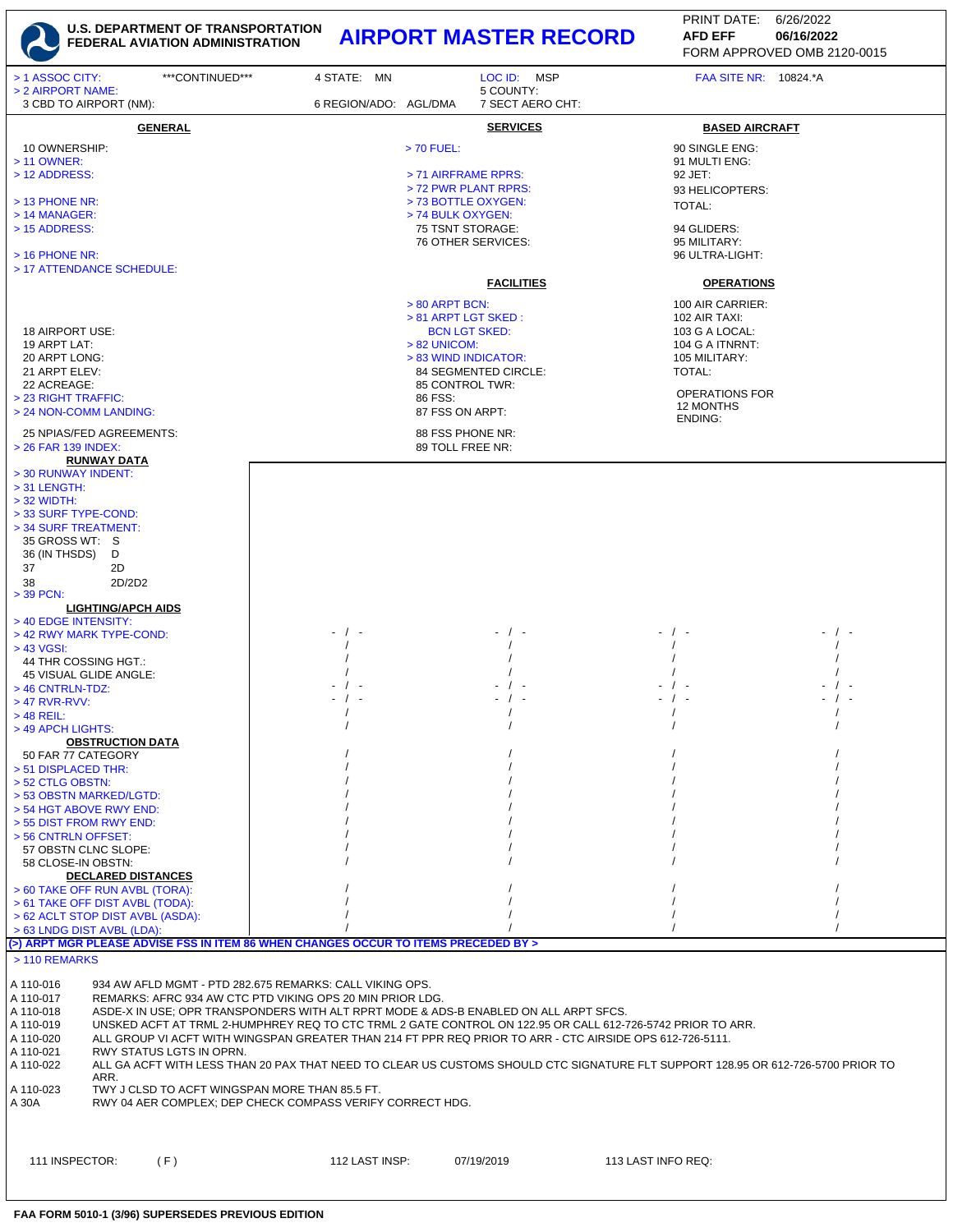

## **U.S. DEPARTMENT OF TRANSPORTATION FEDERAL AVIATION ADMINISTRATION AIRPORT MASTER RECORD AFD EFF 06/16/2022**

FORM APPROVED OMB 2120-0015 PRINT DATE: 6/26/2022 **AFD EFF**

| ***CONTINUED***<br>> 1 ASSOC CITY:<br>> 2 AIRPORT NAME:                                                                                                                                                                                              | 4 STATE: MN           | LOC ID: MSP<br>5 COUNTY:                                                                                                                                                                                                                                                                                       | FAA SITE NR: 10824.*A                                                                                                            |  |
|------------------------------------------------------------------------------------------------------------------------------------------------------------------------------------------------------------------------------------------------------|-----------------------|----------------------------------------------------------------------------------------------------------------------------------------------------------------------------------------------------------------------------------------------------------------------------------------------------------------|----------------------------------------------------------------------------------------------------------------------------------|--|
| 3 CBD TO AIRPORT (NM):                                                                                                                                                                                                                               | 6 REGION/ADO: AGL/DMA | 7 SECT AERO CHT:                                                                                                                                                                                                                                                                                               |                                                                                                                                  |  |
| <b>GENERAL</b>                                                                                                                                                                                                                                       |                       | <b>SERVICES</b>                                                                                                                                                                                                                                                                                                | <b>BASED AIRCRAFT</b>                                                                                                            |  |
| 10 OWNERSHIP:<br>> 11 OWNER:<br>> 12 ADDRESS:                                                                                                                                                                                                        |                       | $> 70$ FUEL:<br>> 71 AIRFRAME RPRS:                                                                                                                                                                                                                                                                            | 90 SINGLE ENG:<br>91 MULTI ENG:<br>92 JET:                                                                                       |  |
| $>$ 13 PHONE NR:<br>> 14 MANAGER:<br>> 15 ADDRESS:                                                                                                                                                                                                   |                       | > 72 PWR PLANT RPRS:<br>> 73 BOTTLE OXYGEN:<br>> 74 BULK OXYGEN:<br>75 TSNT STORAGE:<br>76 OTHER SERVICES:                                                                                                                                                                                                     | 93 HELICOPTERS:<br>TOTAL:<br>94 GLIDERS:<br>95 MILITARY:                                                                         |  |
| $>$ 16 PHONE NR:<br>> 17 ATTENDANCE SCHEDULE:                                                                                                                                                                                                        |                       |                                                                                                                                                                                                                                                                                                                | 96 ULTRA-LIGHT:                                                                                                                  |  |
|                                                                                                                                                                                                                                                      |                       | <b>FACILITIES</b>                                                                                                                                                                                                                                                                                              | <b>OPERATIONS</b>                                                                                                                |  |
| 18 AIRPORT USE:<br>19 ARPT LAT:<br>20 ARPT LONG:<br>21 ARPT ELEV:<br>22 ACREAGE:<br>> 23 RIGHT TRAFFIC:                                                                                                                                              |                       | > 80 ARPT BCN:<br>> 81 ARPT LGT SKED:<br><b>BCN LGT SKED:</b><br>> 82 UNICOM:<br>> 83 WIND INDICATOR:<br>84 SEGMENTED CIRCLE:<br>85 CONTROL TWR:<br>86 FSS:                                                                                                                                                    | 100 AIR CARRIER:<br>102 AIR TAXI:<br>103 G A LOCAL:<br>104 G A ITNRNT:<br>105 MILITARY:<br>TOTAL:<br>OPERATIONS FOR<br>12 MONTHS |  |
| > 24 NON-COMM LANDING:                                                                                                                                                                                                                               |                       | 87 FSS ON ARPT:                                                                                                                                                                                                                                                                                                | ENDING:                                                                                                                          |  |
| 25 NPIAS/FED AGREEMENTS:<br>> 26 FAR 139 INDEX:                                                                                                                                                                                                      |                       | 88 FSS PHONE NR:<br>89 TOLL FREE NR:                                                                                                                                                                                                                                                                           |                                                                                                                                  |  |
| <b>RUNWAY DATA</b><br>> 30 RUNWAY INDENT:<br>$>$ 31 LENGTH:<br>$>$ 32 WIDTH:<br>> 33 SURF TYPE-COND:                                                                                                                                                 |                       |                                                                                                                                                                                                                                                                                                                |                                                                                                                                  |  |
| > 34 SURF TREATMENT:<br>35 GROSS WT: S<br>36 (IN THSDS)<br>D<br>37<br>2D                                                                                                                                                                             |                       |                                                                                                                                                                                                                                                                                                                |                                                                                                                                  |  |
| 2D/2D2<br>38<br>$>$ 39 PCN:                                                                                                                                                                                                                          |                       |                                                                                                                                                                                                                                                                                                                |                                                                                                                                  |  |
| <b>LIGHTING/APCH AIDS</b><br>> 40 EDGE INTENSITY:                                                                                                                                                                                                    |                       |                                                                                                                                                                                                                                                                                                                |                                                                                                                                  |  |
| > 42 RWY MARK TYPE-COND:<br>> 43 VGSI:                                                                                                                                                                                                               | $\prime$ -            |                                                                                                                                                                                                                                                                                                                | - / -                                                                                                                            |  |
| 44 THR COSSING HGT.:                                                                                                                                                                                                                                 |                       |                                                                                                                                                                                                                                                                                                                |                                                                                                                                  |  |
| 45 VISUAL GLIDE ANGLE:<br>> 46 CNTRLN-TDZ:                                                                                                                                                                                                           |                       |                                                                                                                                                                                                                                                                                                                |                                                                                                                                  |  |
| $>47$ RVR-RVV:                                                                                                                                                                                                                                       | $\sqrt{ }$            |                                                                                                                                                                                                                                                                                                                | - / -                                                                                                                            |  |
| $>$ 48 REIL:<br>> 49 APCH LIGHTS:                                                                                                                                                                                                                    |                       |                                                                                                                                                                                                                                                                                                                |                                                                                                                                  |  |
| <b>OBSTRUCTION DATA</b>                                                                                                                                                                                                                              |                       |                                                                                                                                                                                                                                                                                                                |                                                                                                                                  |  |
| 50 FAR 77 CATEGORY<br>> 51 DISPLACED THR:                                                                                                                                                                                                            |                       |                                                                                                                                                                                                                                                                                                                |                                                                                                                                  |  |
| $>$ 52 CTLG OBSTN:<br>> 53 OBSTN MARKED/LGTD:                                                                                                                                                                                                        |                       |                                                                                                                                                                                                                                                                                                                |                                                                                                                                  |  |
| > 54 HGT ABOVE RWY END:                                                                                                                                                                                                                              |                       |                                                                                                                                                                                                                                                                                                                |                                                                                                                                  |  |
| > 55 DIST FROM RWY END:<br>> 56 CNTRLN OFFSET:                                                                                                                                                                                                       |                       |                                                                                                                                                                                                                                                                                                                |                                                                                                                                  |  |
| 57 OBSTN CLNC SLOPE:                                                                                                                                                                                                                                 |                       |                                                                                                                                                                                                                                                                                                                |                                                                                                                                  |  |
| 58 CLOSE-IN OBSTN:<br><b>DECLARED DISTANCES</b>                                                                                                                                                                                                      |                       |                                                                                                                                                                                                                                                                                                                |                                                                                                                                  |  |
| > 60 TAKE OFF RUN AVBL (TORA):<br>> 61 TAKE OFF DIST AVBL (TODA):                                                                                                                                                                                    |                       |                                                                                                                                                                                                                                                                                                                |                                                                                                                                  |  |
| > 62 ACLT STOP DIST AVBL (ASDA):                                                                                                                                                                                                                     |                       |                                                                                                                                                                                                                                                                                                                |                                                                                                                                  |  |
| > 63 LNDG DIST AVBL (LDA):<br>(>) ARPT MGR PLEASE ADVISE FSS IN ITEM 86 WHEN CHANGES OCCUR TO ITEMS PRECEDED BY >                                                                                                                                    |                       |                                                                                                                                                                                                                                                                                                                |                                                                                                                                  |  |
| > 110 REMARKS                                                                                                                                                                                                                                        |                       |                                                                                                                                                                                                                                                                                                                |                                                                                                                                  |  |
| 934 AW AFLD MGMT - PTD 282.675 REMARKS: CALL VIKING OPS.<br>A 110-016<br>A 110-017<br>REMARKS: AFRC 934 AW CTC PTD VIKING OPS 20 MIN PRIOR LDG.<br>A 110-018<br>A 110-019<br>A 110-020<br>A 110-021<br>RWY STATUS LGTS IN OPRN.<br>A 110-022<br>ARR. |                       | ASDE-X IN USE; OPR TRANSPONDERS WITH ALT RPRT MODE & ADS-B ENABLED ON ALL ARPT SFCS.<br>UNSKED ACFT AT TRML 2-HUMPHREY REQ TO CTC TRML 2 GATE CONTROL ON 122.95 OR CALL 612-726-5742 PRIOR TO ARR.<br>ALL GROUP VI ACFT WITH WINGSPAN GREATER THAN 214 FT PPR REQ PRIOR TO ARR - CTC AIRSIDE OPS 612-726-5111. | ALL GA ACFT WITH LESS THAN 20 PAX THAT NEED TO CLEAR US CUSTOMS SHOULD CTC SIGNATURE FLT SUPPORT 128.95 OR 612-726-5700 PRIOR TO |  |
| A 110-023<br>TWY J CLSD TO ACFT WINGSPAN MORE THAN 85.5 FT.<br>RWY 04 AER COMPLEX; DEP CHECK COMPASS VERIFY CORRECT HDG.<br>A 30A                                                                                                                    |                       |                                                                                                                                                                                                                                                                                                                |                                                                                                                                  |  |
| 111 INSPECTOR:<br>(F)                                                                                                                                                                                                                                | 112 LAST INSP:        | 07/19/2019                                                                                                                                                                                                                                                                                                     | 113 LAST INFO REQ:                                                                                                               |  |